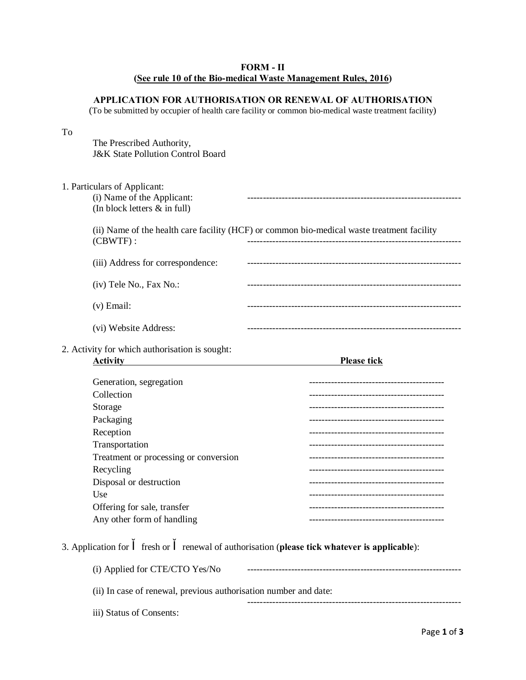## **FORM - II (See rule 10 of the Bio-medical Waste Management Rules, 2016)**

## **APPLICATION FOR AUTHORISATION OR RENEWAL OF AUTHORISATION**

(To be submitted by occupier of health care facility or common bio-medical waste treatment facility)

#### To

The Prescribed Authority, J&K State Pollution Control Board

| 1. Particulars of Applicant:<br>(i) Name of the Applicant:<br>(In block letters $\&$ in full) |                                                                                            |
|-----------------------------------------------------------------------------------------------|--------------------------------------------------------------------------------------------|
| $(CBWTF)$ :                                                                                   | (ii) Name of the health care facility (HCF) or common bio-medical waste treatment facility |
| (iii) Address for correspondence:                                                             |                                                                                            |
| (iv) Tele No., Fax No.:                                                                       |                                                                                            |
| $(v)$ Email:                                                                                  |                                                                                            |
| (vi) Website Address:                                                                         | -------------------------                                                                  |
| 2. Activity for which authorisation is sought:<br><b>Activity</b>                             | <b>Please tick</b>                                                                         |
| Generation, segregation                                                                       | -----------------------------                                                              |
| Collection                                                                                    |                                                                                            |
| Storage                                                                                       |                                                                                            |
| Packaging                                                                                     |                                                                                            |
| Reception                                                                                     |                                                                                            |
| Transportation                                                                                |                                                                                            |
| Treatment or processing or conversion                                                         | -----------------------------                                                              |
| Recycling                                                                                     |                                                                                            |
| Disposal or destruction                                                                       |                                                                                            |
| Use                                                                                           |                                                                                            |
| Offering for sale, transfer                                                                   |                                                                                            |
| Any other form of handling                                                                    | ----------------------                                                                     |
| 3. Application for<br>fresh or                                                                | renewal of authorisation (please tick whatever is applicable):                             |

| (i) Applied for CTE/CTO Yes/No                                   |  |  |
|------------------------------------------------------------------|--|--|
| (ii) In case of renewal, previous authorisation number and date: |  |  |
| iii) Status of Consents:                                         |  |  |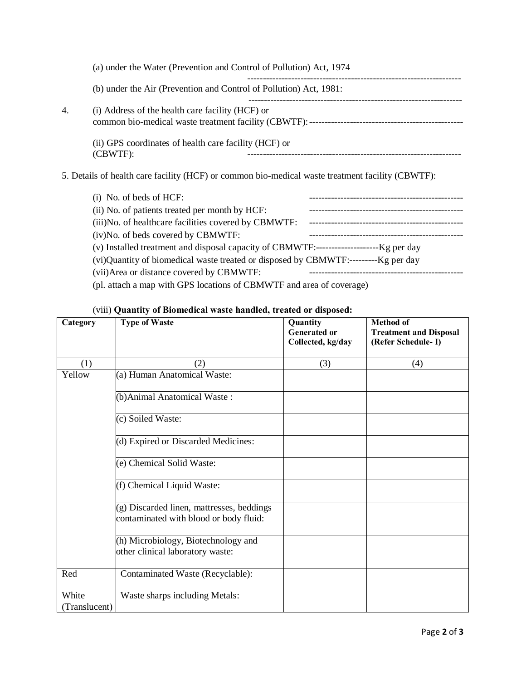|                                                                      | (a) under the Water (Prevention and Control of Pollution) Act, 1974 |
|----------------------------------------------------------------------|---------------------------------------------------------------------|
|                                                                      | (b) under the Air (Prevention and Control of Pollution) Act, 1981:  |
| 4.                                                                   | (i) Address of the health care facility (HCF) or                    |
| (ii) GPS coordinates of health care facility (HCF) or<br>$(CBWTF)$ : |                                                                     |
|                                                                      |                                                                     |

5. Details of health care facility (HCF) or common bio-medical waste treatment facility (CBWTF):

| $(i)$ No. of beds of HCF:                                            |  |  |
|----------------------------------------------------------------------|--|--|
| (ii) No. of patients treated per month by HCF:                       |  |  |
| (iii) No. of healthcare facilities covered by CBMWTF:                |  |  |
| (iv)No. of beds covered by CBMWTF:                                   |  |  |
|                                                                      |  |  |
|                                                                      |  |  |
| (vii) Area or distance covered by CBMWTF:                            |  |  |
| (pl. attach a map with GPS locations of CBMWTF and area of coverage) |  |  |

# (viii) **Quantity of Biomedical waste handled, treated or disposed:**

| Category      | <b>Type of Waste</b>                                                                | Quantity<br><b>Generated or</b><br>Collected, kg/day | <b>Method of</b><br><b>Treatment and Disposal</b><br>(Refer Schedule-I) |
|---------------|-------------------------------------------------------------------------------------|------------------------------------------------------|-------------------------------------------------------------------------|
| (1)           | (2)                                                                                 | (3)                                                  | (4)                                                                     |
| Yellow        | (a) Human Anatomical Waste:                                                         |                                                      |                                                                         |
|               | (b) Animal Anatomical Waste:                                                        |                                                      |                                                                         |
|               | (c) Soiled Waste:                                                                   |                                                      |                                                                         |
|               | (d) Expired or Discarded Medicines:                                                 |                                                      |                                                                         |
|               | (e) Chemical Solid Waste:                                                           |                                                      |                                                                         |
|               | (f) Chemical Liquid Waste:                                                          |                                                      |                                                                         |
|               | (g) Discarded linen, mattresses, beddings<br>contaminated with blood or body fluid: |                                                      |                                                                         |
|               | (h) Microbiology, Biotechnology and<br>other clinical laboratory waste:             |                                                      |                                                                         |
| Red           | Contaminated Waste (Recyclable):                                                    |                                                      |                                                                         |
| White         | Waste sharps including Metals:                                                      |                                                      |                                                                         |
| (Translucent) |                                                                                     |                                                      |                                                                         |